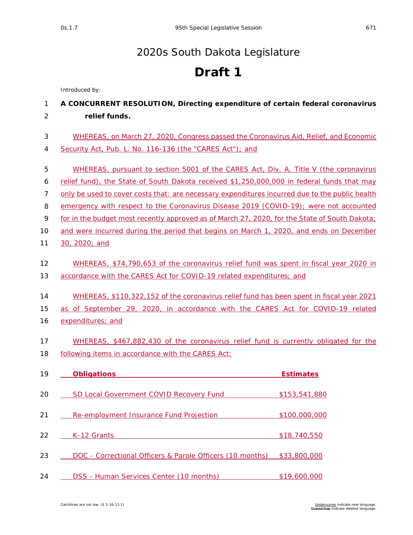## [2020s South Dakota Legislature](https://sdlegislature.gov/Legislative_Session/Bills/Default.aspx?Session=2020s)

## **Draft 1**

*Introduced by:*

## 1 **A CONCURRENT RESOLUTION, Directing expenditure of certain federal coronavirus**  2 **relief funds.**

| WHEREAS, on March 27, 2020, Congress passed the Coronavirus Aid, Relief, and Economic |
|---------------------------------------------------------------------------------------|
| 4 Security Act, Pub. L. No. 116-136 (the "CARES Act"); and                            |

- 5 WHEREAS, pursuant to section 5001 of the CARES Act, Div. A, Title V (the coronavirus
- 6 relief fund), the State of South Dakota received \$1,250,000,000 in federal funds that may
- 7 only be used to cover costs that: are necessary expenditures incurred due to the public health
- 8 emergency with respect to the Coronavirus Disease 2019 (COVID-19); were not accounted
- 9 for in the budget most recently approved as of March 27, 2020, for the State of South Dakota;
- 10 and were incurred during the period that begins on March 1, 2020, and ends on December
- 11 30, 2020; and

## 12 WHEREAS, \$74,790,653 of the coronavirus relief fund was spent in fiscal year 2020 in 13 accordance with the CARES Act for COVID-19 related expenditures; and

14 WHEREAS, \$110,322,152 of the coronavirus relief fund has been spent in fiscal year 2021

15 as of September 29, 2020, in accordance with the CARES Act for COVID-19 related

- 16 expenditures; and
- 17 WHEREAS, \$467,882,430 of the coronavirus relief fund is currently obligated for the 18 following items in accordance with the CARES Act:

| 19 | <b>Obligations</b>                                        | <b>Estimates</b> |
|----|-----------------------------------------------------------|------------------|
| 20 | <b>SD Local Government COVID Recovery Fund</b>            | \$153,541,880    |
| 21 | Re-employment Insurance Fund Projection                   | \$100,000,000    |
| 22 | K-12 Grants                                               | \$18,740,550     |
| 23 | DOC - Correctional Officers & Parole Officers (10 months) | \$33,800,000     |
| 24 | DSS - Human Services Center (10 months)                   | \$19,600,000     |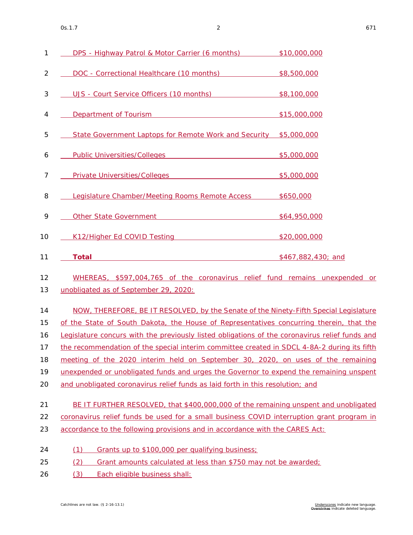| 1              | DPS - Highway Patrol & Motor Carrier (6 months)                                                                                                                                                                                | \$10,000,000       |  |  |  |  |  |
|----------------|--------------------------------------------------------------------------------------------------------------------------------------------------------------------------------------------------------------------------------|--------------------|--|--|--|--|--|
| $\overline{c}$ | DOC - Correctional Healthcare (10 months)                                                                                                                                                                                      | \$8,500,000        |  |  |  |  |  |
| 3              | UJS - Court Service Officers (10 months)                                                                                                                                                                                       | \$8,100,000        |  |  |  |  |  |
| 4              | Department of Tourism Department of Tourism                                                                                                                                                                                    | \$15,000,000       |  |  |  |  |  |
| 5              | State Government Laptops for Remote Work and Security \$5,000,000                                                                                                                                                              |                    |  |  |  |  |  |
| 6              | Public Universities/Colleges \$5,000,000                                                                                                                                                                                       |                    |  |  |  |  |  |
| 7              | Private Universities/Colleges extends to the state of \$5,000,000                                                                                                                                                              |                    |  |  |  |  |  |
| 8              | Legislature Chamber/Meeting Rooms Remote Access \$650,000                                                                                                                                                                      |                    |  |  |  |  |  |
| 9              | Other State Government Contract Contract Contract Contract Contract Contract Contract Contract Contract Contract Contract Contract Contract Contract Contract Contract Contract Contract Contract Contract Contract Contract C | \$64,950,000       |  |  |  |  |  |
| 10             | K12/Higher Ed COVID Testing Management Cover and COVID Testing                                                                                                                                                                 | \$20,000,000       |  |  |  |  |  |
| 11             | <b>Total</b>                                                                                                                                                                                                                   | \$467,882,430; and |  |  |  |  |  |
| 12<br>13       | WHEREAS, \$597,004,765 of the coronavirus relief fund remains unexpended or<br>unobligated as of September 29, 2020:                                                                                                           |                    |  |  |  |  |  |
| 14             | NOW, THEREFORE, BE IT RESOLVED, by the Senate of the Ninety-Fifth Special Legislature                                                                                                                                          |                    |  |  |  |  |  |
| 15             | of the State of South Dakota, the House of Representatives concurring therein, that the                                                                                                                                        |                    |  |  |  |  |  |
| 16             | Legislature concurs with the previously listed obligations of the coronavirus relief funds and                                                                                                                                 |                    |  |  |  |  |  |
| 17             | the recommendation of the special interim committee created in SDCL 4-8A-2 during its fifth                                                                                                                                    |                    |  |  |  |  |  |
| 18             | meeting of the 2020 interim held on September 30, 2020, on uses of the remaining                                                                                                                                               |                    |  |  |  |  |  |
| 19             | unexpended or unobligated funds and urges the Governor to expend the remaining unspent                                                                                                                                         |                    |  |  |  |  |  |
| 20             | and unobligated coronavirus relief funds as laid forth in this resolution; and                                                                                                                                                 |                    |  |  |  |  |  |
| 21             | BE IT FURTHER RESOLVED, that \$400,000,000 of the remaining unspent and unobligated                                                                                                                                            |                    |  |  |  |  |  |
| 22             | coronavirus relief funds be used for a small business COVID interruption grant program in                                                                                                                                      |                    |  |  |  |  |  |
| 23             | accordance to the following provisions and in accordance with the CARES Act:                                                                                                                                                   |                    |  |  |  |  |  |
| 24             | Grants up to \$100,000 per qualifying business;<br>(1)                                                                                                                                                                         |                    |  |  |  |  |  |
| 25             | (2)<br>Grant amounts calculated at less than \$750 may not be awarded;                                                                                                                                                         |                    |  |  |  |  |  |

26 (3) Each eligible business shall: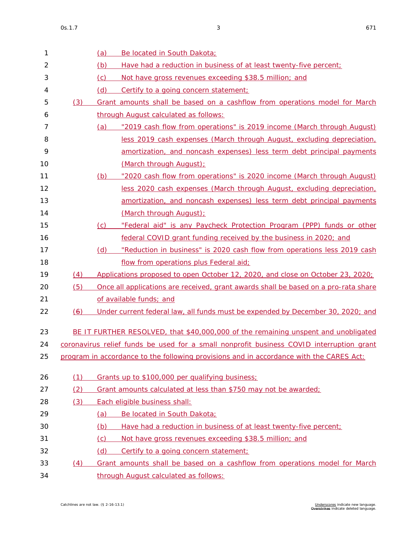| $\mathbf{1}$   |     | Be located in South Dakota;<br>(a)                                                       |
|----------------|-----|------------------------------------------------------------------------------------------|
| $\overline{2}$ |     | (b)<br>Have had a reduction in business of at least twenty-five percent;                 |
| 3              |     | (c)<br>Not have gross revenues exceeding \$38.5 million; and                             |
| 4              |     | (d)<br>Certify to a going concern statement;                                             |
| 5              | (3) | Grant amounts shall be based on a cashflow from operations model for March               |
| 6              |     | through August calculated as follows:                                                    |
| 7              |     | "2019 cash flow from operations" is 2019 income (March through August)<br>(a)            |
| 8              |     | less 2019 cash expenses (March through August, excluding depreciation,                   |
| 9              |     | amortization, and noncash expenses) less term debt principal payments                    |
| 10             |     | (March through August);                                                                  |
| 11             |     | "2020 cash flow from operations" is 2020 income (March through August)<br>(b)            |
| 12             |     | less 2020 cash expenses (March through August, excluding depreciation,                   |
| 13             |     | amortization, and noncash expenses) less term debt principal payments                    |
| 14             |     | (March through August);                                                                  |
| 15             |     | "Federal aid" is any Paycheck Protection Program (PPP) funds or other<br>(c)             |
| 16             |     | federal COVID grant funding received by the business in 2020; and                        |
| 17             |     | "Reduction in business" is 2020 cash flow from operations less 2019 cash<br>(d)          |
| 18             |     | flow from operations plus Federal aid;                                                   |
| 19             | (4) | Applications proposed to open October 12, 2020, and close on October 23, 2020;           |
| 20             | (5) | Once all applications are received, grant awards shall be based on a pro-rata share      |
| 21             |     | of available funds; and                                                                  |
| 22             | (6) | Under current federal law, all funds must be expended by December 30, 2020; and          |
| 23             |     | BE IT FURTHER RESOLVED, that \$40,000,000 of the remaining unspent and unobligated       |
| 24             |     | coronavirus relief funds be used for a small nonprofit business COVID interruption grant |
| 25             |     | program in accordance to the following provisions and in accordance with the CARES Act:  |
|                |     |                                                                                          |
| 26             | (1) | Grants up to \$100,000 per qualifying business;                                          |
| 27             | (2) | Grant amounts calculated at less than \$750 may not be awarded;                          |
| 28             | (3) | Each eligible business shall:                                                            |
| 29             |     | Be located in South Dakota;<br><u>(a)</u>                                                |
| 30             |     | (b)<br>Have had a reduction in business of at least twenty-five percent;                 |
| 31             |     | Not have gross revenues exceeding \$38.5 million; and<br>(c)                             |
| 32             |     | (d)<br>Certify to a going concern statement;                                             |
| 33             | (4) | Grant amounts shall be based on a cashflow from operations model for March               |
| 34             |     | through August calculated as follows:                                                    |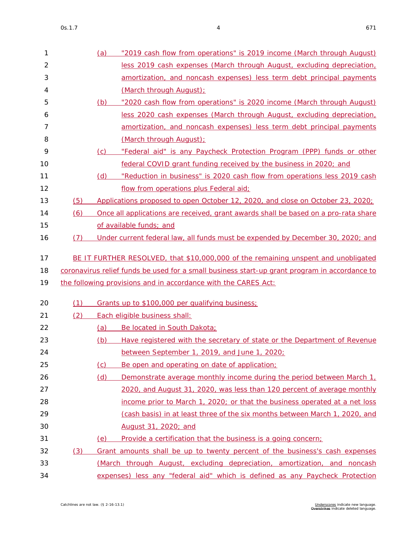| I<br>$\sim$ |  |
|-------------|--|
|-------------|--|

| 1              |     | (a) | "2019 cash flow from operations" is 2019 income (March through August)                        |
|----------------|-----|-----|-----------------------------------------------------------------------------------------------|
| $\overline{2}$ |     |     | less 2019 cash expenses (March through August, excluding depreciation,                        |
| 3              |     |     | amortization, and noncash expenses) less term debt principal payments                         |
| 4              |     |     | (March through August);                                                                       |
| 5              |     | (b) | "2020 cash flow from operations" is 2020 income (March through August)                        |
| 6              |     |     | less 2020 cash expenses (March through August, excluding depreciation,                        |
| 7              |     |     | amortization, and noncash expenses) less term debt principal payments                         |
| 8              |     |     | (March through August);                                                                       |
| 9              |     | (C) | "Federal aid" is any Paycheck Protection Program (PPP) funds or other                         |
| 10             |     |     | federal COVID grant funding received by the business in 2020; and                             |
| 11             |     | (d) | "Reduction in business" is 2020 cash flow from operations less 2019 cash                      |
| 12             |     |     | flow from operations plus Federal aid;                                                        |
| 13             | (5) |     | Applications proposed to open October 12, 2020, and close on October 23, 2020;                |
| 14             | (6) |     | Once all applications are received, grant awards shall be based on a pro-rata share           |
| 15             |     |     | of available funds; and                                                                       |
| 16             | (7) |     | Under current federal law, all funds must be expended by December 30, 2020; and               |
|                |     |     |                                                                                               |
|                |     |     |                                                                                               |
| 17             |     |     | BE IT FURTHER RESOLVED, that \$10,000,000 of the remaining unspent and unobligated            |
| 18             |     |     | coronavirus relief funds be used for a small business start-up grant program in accordance to |
| 19             |     |     | the following provisions and in accordance with the CARES Act:                                |
| 20             | (1) |     |                                                                                               |
| 21             |     |     | Grants up to \$100,000 per qualifying business;                                               |
|                | (2) |     | Each eligible business shall:                                                                 |
| 22             |     | (a) | Be located in South Dakota;                                                                   |
| 23             |     | (b) | Have registered with the secretary of state or the Department of Revenue                      |
| 24             |     |     | between September 1, 2019, and June 1, 2020;                                                  |
| 25             |     | (c) | Be open and operating on date of application;                                                 |
| 26             |     | (d) | Demonstrate average monthly income during the period between March 1,                         |
| 27             |     |     | 2020, and August 31, 2020, was less than 120 percent of average monthly                       |
| 28<br>29       |     |     | income prior to March 1, 2020; or that the business operated at a net loss                    |
|                |     |     | (cash basis) in at least three of the six months between March 1, 2020, and                   |
| 30<br>31       |     | (e) | August 31, 2020; and<br>Provide a certification that the business is a going concern;         |
| 32             | (3) |     | Grant amounts shall be up to twenty percent of the business's cash expenses                   |
| 33             |     |     | (March through August, excluding depreciation, amortization, and noncash                      |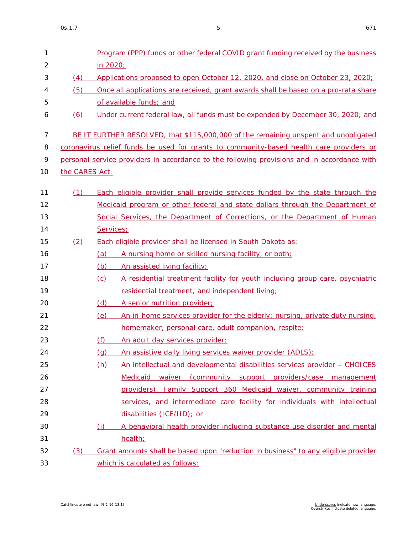| 1              |                | Program (PPP) funds or other federal COVID grant funding received by the business           |  |  |  |  |  |  |  |  |  |  |
|----------------|----------------|---------------------------------------------------------------------------------------------|--|--|--|--|--|--|--|--|--|--|
| $\overline{2}$ |                | in 2020;                                                                                    |  |  |  |  |  |  |  |  |  |  |
| 3              | (4)            | Applications proposed to open October 12, 2020, and close on October 23, 2020;              |  |  |  |  |  |  |  |  |  |  |
| 4              | (5)            | Once all applications are received, grant awards shall be based on a pro-rata share         |  |  |  |  |  |  |  |  |  |  |
| 5              |                | of available funds; and                                                                     |  |  |  |  |  |  |  |  |  |  |
| 6              | (6)            | Under current federal law, all funds must be expended by December 30, 2020; and             |  |  |  |  |  |  |  |  |  |  |
| $\overline{7}$ |                | BE IT FURTHER RESOLVED, that \$115,000,000 of the remaining unspent and unobligated         |  |  |  |  |  |  |  |  |  |  |
| 8              |                | coronavirus relief funds be used for grants to community-based health care providers or     |  |  |  |  |  |  |  |  |  |  |
| 9              |                | personal service providers in accordance to the following provisions and in accordance with |  |  |  |  |  |  |  |  |  |  |
| 10             | the CARES Act: |                                                                                             |  |  |  |  |  |  |  |  |  |  |
| 11             | (1)            | Each eligible provider shall provide services funded by the state through the               |  |  |  |  |  |  |  |  |  |  |
| 12             |                | Medicaid program or other federal and state dollars through the Department of               |  |  |  |  |  |  |  |  |  |  |
| 13             |                |                                                                                             |  |  |  |  |  |  |  |  |  |  |
| 14             |                | Social Services, the Department of Corrections, or the Department of Human                  |  |  |  |  |  |  |  |  |  |  |
|                |                | Services;                                                                                   |  |  |  |  |  |  |  |  |  |  |
| 15             | (2)            | Each eligible provider shall be licensed in South Dakota as:                                |  |  |  |  |  |  |  |  |  |  |
| 16             |                | (a)<br>A nursing home or skilled nursing facility, or both;                                 |  |  |  |  |  |  |  |  |  |  |
| 17             |                | An assisted living facility;<br>(b)                                                         |  |  |  |  |  |  |  |  |  |  |
| 18             |                | A residential treatment facility for youth including group care, psychiatric<br>(c)         |  |  |  |  |  |  |  |  |  |  |
| 19             |                | residential treatment, and independent living;                                              |  |  |  |  |  |  |  |  |  |  |
| 20             |                | (d)<br>A senior nutrition provider;                                                         |  |  |  |  |  |  |  |  |  |  |
| 21             |                | An in-home services provider for the elderly: nursing, private duty nursing,<br>(e)         |  |  |  |  |  |  |  |  |  |  |
| 22             |                | homemaker, personal care, adult companion, respite;                                         |  |  |  |  |  |  |  |  |  |  |
| 23             |                | (f)<br>An adult day services provider;                                                      |  |  |  |  |  |  |  |  |  |  |
| 24             |                | (g) An assistive daily living services waiver provider (ADLS);                              |  |  |  |  |  |  |  |  |  |  |
| 25             |                | An intellectual and developmental disabilities services provider - CHOICES<br>(h)           |  |  |  |  |  |  |  |  |  |  |
| 26             |                | Medicaid waiver (community support providers/case management                                |  |  |  |  |  |  |  |  |  |  |
| 27             |                | providers), Family Support 360 Medicaid waiver, community training                          |  |  |  |  |  |  |  |  |  |  |
| 28             |                | services, and intermediate care facility for individuals with intellectual                  |  |  |  |  |  |  |  |  |  |  |
| 29             |                | disabilities (ICF/IID); or                                                                  |  |  |  |  |  |  |  |  |  |  |
| 30             |                | A behavioral health provider including substance use disorder and mental<br>(i)             |  |  |  |  |  |  |  |  |  |  |
| 31             |                | health;                                                                                     |  |  |  |  |  |  |  |  |  |  |
| 32             | (3)            | Grant amounts shall be based upon "reduction in business" to any eligible provider          |  |  |  |  |  |  |  |  |  |  |
| 33             |                | which is calculated as follows:                                                             |  |  |  |  |  |  |  |  |  |  |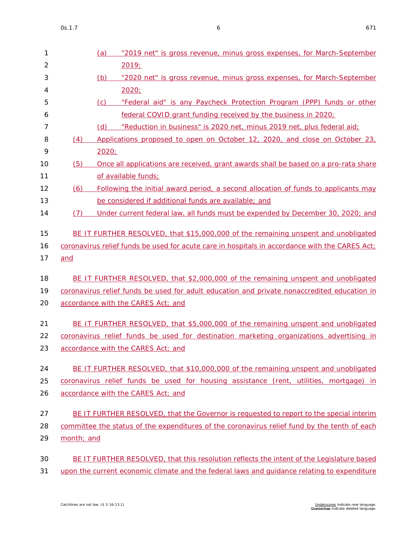| 1              |            | (a)<br>"2019 net" is gross revenue, minus gross expenses, for March-September                  |
|----------------|------------|------------------------------------------------------------------------------------------------|
| $\overline{2}$ |            | 2019;                                                                                          |
| 3              |            | "2020 net" is gross revenue, minus gross expenses, for March-September<br><u>(b)</u>           |
| 4              |            | 2020;                                                                                          |
| 5              |            | (c)<br>"Federal aid" is any Paycheck Protection Program (PPP) funds or other                   |
| 6              |            | federal COVID grant funding received by the business in 2020;                                  |
| 7              |            | "Reduction in business" is 2020 net, minus 2019 net, plus federal aid;<br>(d)                  |
| 8              | (4)        | Applications proposed to open on October 12, 2020, and close on October 23,                    |
| 9              |            | 2020;                                                                                          |
| 10             | (5)        | Once all applications are received, grant awards shall be based on a pro-rata share            |
| 11             |            | of available funds;                                                                            |
| 12             | (6)        | Following the initial award period, a second allocation of funds to applicants may             |
| 13             |            | be considered if additional funds are available; and                                           |
| 14             | (7)        | Under current federal law, all funds must be expended by December 30, 2020; and                |
|                |            |                                                                                                |
| 15             |            | BE IT FURTHER RESOLVED, that \$15,000,000 of the remaining unspent and unobligated             |
| 16             |            | coronavirus relief funds be used for acute care in hospitals in accordance with the CARES Act; |
| 17             | and        |                                                                                                |
| 18             |            | BE IT FURTHER RESOLVED, that \$2,000,000 of the remaining unspent and unobligated              |
| 19             |            | coronavirus relief funds be used for adult education and private nonaccredited education in    |
| 20             |            | accordance with the CARES Act; and                                                             |
|                |            |                                                                                                |
| 21             |            | BE IT FURTHER RESOLVED, that \$5,000,000 of the remaining unspent and unobligated              |
| 22             |            | coronavirus relief funds be used for destination marketing organizations advertising in        |
| 23             |            | accordance with the CARES Act; and                                                             |
| 24             |            | BE IT FURTHER RESOLVED, that \$10,000,000 of the remaining unspent and unobligated             |
| 25             |            | coronavirus relief funds be used for housing assistance (rent, utilities, mortgage) in         |
| 26             |            | accordance with the CARES Act; and                                                             |
|                |            |                                                                                                |
| 27             |            | BE IT FURTHER RESOLVED, that the Governor is requested to report to the special interim        |
| 28             |            | committee the status of the expenditures of the coronavirus relief fund by the tenth of each   |
| 29             | month; and |                                                                                                |
|                |            |                                                                                                |
| 30             |            | BE IT FURTHER RESOLVED, that this resolution reflects the intent of the Legislature based      |
| 31             |            | upon the current economic climate and the federal laws and guidance relating to expenditure    |